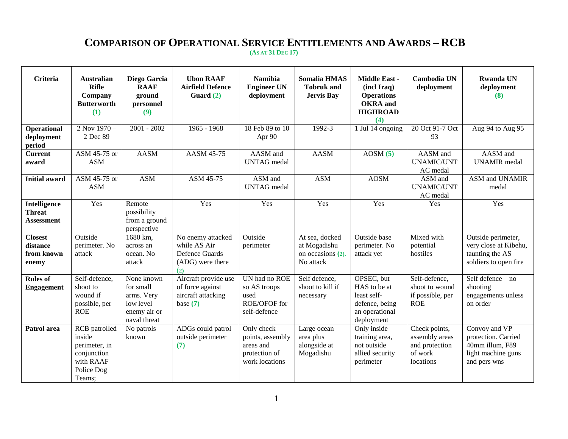## **COMPARISON OF OPERATIONAL SERVICE ENTITLEMENTS AND AWARDS – RCB (AS AT 31 DEC 17)**

| Criteria                                           | <b>Australian</b><br><b>Rifle</b><br>Company<br><b>Butterworth</b><br>(1)                           | Diego Garcia<br><b>RAAF</b><br>ground<br>personnel<br>(9)                          | <b>Ubon RAAF</b><br><b>Airfield Defence</b><br>Guard $(2)$                     | <b>Namibia</b><br><b>Engineer UN</b><br>deployment                             | <b>Somalia HMAS</b><br><b>Tobruk</b> and<br><b>Jervis Bay</b>    | Middle East -<br>(incl Iraq)<br><b>Operations</b><br><b>OKRA</b> and<br><b>HIGHROAD</b><br>(4) | Cambodia UN<br>deployment                                                 | <b>Rwanda UN</b><br>deployment<br>(8)                                                         |
|----------------------------------------------------|-----------------------------------------------------------------------------------------------------|------------------------------------------------------------------------------------|--------------------------------------------------------------------------------|--------------------------------------------------------------------------------|------------------------------------------------------------------|------------------------------------------------------------------------------------------------|---------------------------------------------------------------------------|-----------------------------------------------------------------------------------------------|
| Operational<br>deployment<br>period                | 2 Nov 1970-<br>2 Dec 89                                                                             | $2001 - 2002$                                                                      | 1965 - 1968                                                                    | 18 Feb 89 to 10<br>Apr 90                                                      | 1992-3                                                           | 1 Jul 14 ongoing                                                                               | 20 Oct 91-7 Oct<br>93                                                     | Aug 94 to Aug 95                                                                              |
| <b>Current</b><br>award                            | ASM 45-75 or<br><b>ASM</b>                                                                          | <b>AASM</b>                                                                        | AASM 45-75                                                                     | AASM and<br><b>UNTAG</b> medal                                                 | <b>AASM</b>                                                      | AOSM(5)                                                                                        | AASM and<br><b>UNAMIC/UNT</b><br>AC medal                                 | AASM and<br><b>UNAMIR</b> medal                                                               |
| <b>Initial award</b>                               | ASM 45-75 or<br><b>ASM</b>                                                                          | <b>ASM</b>                                                                         | ASM 45-75                                                                      | ASM and<br><b>UNTAG</b> medal                                                  | <b>ASM</b>                                                       | <b>AOSM</b>                                                                                    | ASM and<br><b>UNAMIC/UNT</b><br>AC medal                                  | ASM and UNAMIR<br>medal                                                                       |
| Intelligence<br><b>Threat</b><br><b>Assessment</b> | Yes                                                                                                 | Remote<br>possibility<br>from a ground<br>perspective                              | Yes                                                                            | Yes                                                                            | Yes                                                              | Yes                                                                                            | Yes                                                                       | Yes                                                                                           |
| <b>Closest</b><br>distance<br>from known<br>enemy  | Outside<br>perimeter. No<br>attack                                                                  | 1680 km,<br>across an<br>ocean. No<br>attack                                       | No enemy attacked<br>while AS Air<br>Defence Guards<br>(ADG) were there<br>(2) | Outside<br>perimeter                                                           | At sea, docked<br>at Mogadishu<br>on occasions (2).<br>No attack | Outside base<br>perimeter. No<br>attack yet                                                    | Mixed with<br>potential<br>hostiles                                       | Outside perimeter,<br>very close at Kibehu,<br>taunting the AS<br>soldiers to open fire       |
| <b>Rules of</b><br><b>Engagement</b>               | Self-defence,<br>shoot to<br>wound if<br>possible, per<br><b>ROE</b>                                | None known<br>for small<br>arms. Very<br>low level<br>enemy air or<br>naval threat | Aircraft provide use<br>of force against<br>aircraft attacking<br>base $(7)$   | UN had no ROE<br>so AS troops<br>used<br>ROE/OFOF for<br>self-defence          | Self defence,<br>shoot to kill if<br>necessary                   | OPSEC, but<br>HAS to be at<br>least self-<br>defence, being<br>an operational<br>deployment    | Self-defence,<br>shoot to wound<br>if possible, per<br><b>ROE</b>         | Self defence - no<br>shooting<br>engagements unless<br>on order                               |
| Patrol area                                        | <b>RCB</b> patrolled<br>inside<br>perimeter, in<br>conjunction<br>with RAAF<br>Police Dog<br>Teams; | No patrols<br>known                                                                | ADGs could patrol<br>outside perimeter<br>(7)                                  | Only check<br>points, assembly<br>areas and<br>protection of<br>work locations | Large ocean<br>area plus<br>alongside at<br>Mogadishu            | Only inside<br>training area,<br>not outside<br>allied security<br>perimeter                   | Check points,<br>assembly areas<br>and protection<br>of work<br>locations | Convoy and VP<br>protection. Carried<br>40mm illum, F89<br>light machine guns<br>and pers wns |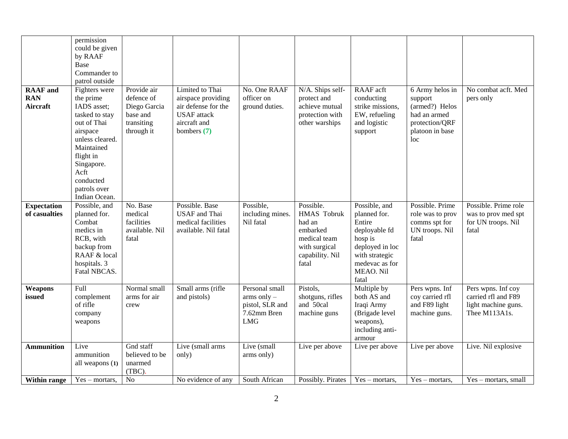| <b>RAAF</b> and<br><b>RAN</b><br>Aircraft | permission<br>could be given<br>by RAAF<br>Base<br>Commander to<br>patrol outside<br>Fighters were<br>the prime<br>IADS asset;<br>tasked to stay | Provide air<br>defence of<br>Diego Garcia<br>base and        | Limited to Thai<br>airspace providing<br>air defense for the<br><b>USAF</b> attack   | No. One RAAF<br>officer on<br>ground duties.                                    | N/A. Ships self-<br>protect and<br>achieve mutual<br>protection with                                               | RAAF acft<br>conducting<br>strike missions,<br>EW, refueling                                                                                     | 6 Army helos in<br>support<br>(armed?) Helos<br>had an armed                    | No combat acft. Med<br>pers only                                                  |
|-------------------------------------------|--------------------------------------------------------------------------------------------------------------------------------------------------|--------------------------------------------------------------|--------------------------------------------------------------------------------------|---------------------------------------------------------------------------------|--------------------------------------------------------------------------------------------------------------------|--------------------------------------------------------------------------------------------------------------------------------------------------|---------------------------------------------------------------------------------|-----------------------------------------------------------------------------------|
|                                           | out of Thai<br>airspace<br>unless cleared.<br>Maintained<br>flight in<br>Singapore.<br>Acft<br>conducted<br>patrols over<br>Indian Ocean.        | transiting<br>through it                                     | aircraft and<br>bombers $(7)$                                                        |                                                                                 | other warships                                                                                                     | and logistic<br>support                                                                                                                          | protection/QRF<br>platoon in base<br>loc                                        |                                                                                   |
| <b>Expectation</b><br>of casualties       | Possible, and<br>planned for.<br>Combat<br>medics in<br>RCB, with<br>backup from<br>RAAF & local<br>hospitals. 3<br>Fatal NBCAS.                 | No. Base<br>medical<br>facilities<br>available. Nil<br>fatal | Possible. Base<br><b>USAF</b> and Thai<br>medical facilities<br>available. Nil fatal | Possible,<br>including mines.<br>Nil fatal                                      | Possible.<br><b>HMAS</b> Tobruk<br>had an<br>embarked<br>medical team<br>with surgical<br>capability. Nil<br>fatal | Possible, and<br>planned for.<br>Entire<br>deployable fd<br>hosp is<br>deployed in loc<br>with strategic<br>medevac as for<br>MEAO. Nil<br>fatal | Possible. Prime<br>role was to prov<br>comms spt for<br>UN troops. Nil<br>fatal | Possible. Prime role<br>was to prov med spt<br>for UN troops. Nil<br>fatal        |
| Weapons<br>issued                         | Full<br>complement<br>of rifle<br>company<br>weapons                                                                                             | Normal small<br>arms for air<br>crew                         | Small arms (rifle<br>and pistols)                                                    | Personal small<br>arms only $-$<br>pistol, SLR and<br>7.62mm Bren<br><b>LMG</b> | Pistols,<br>shotguns, rifles<br>and 50cal<br>machine guns                                                          | Multiple by<br>both AS and<br>Iraqi Army<br>(Brigade level<br>weapons),<br>including anti-<br>armour                                             | Pers wpns. Inf<br>coy carried rfl<br>and F89 light<br>machine guns.             | Pers wpns. Inf coy<br>carried rfl and F89<br>light machine guns.<br>Thee M113A1s. |
| <b>Ammunition</b>                         | Live<br>ammunition<br>all weapons (1)                                                                                                            | Gnd staff<br>believed to be<br>unarmed<br>$(TBC)$ .          | Live (small arms<br>only)                                                            | Live (small<br>arms only)                                                       | Live per above                                                                                                     | Live per above                                                                                                                                   | Live per above                                                                  | Live. Nil explosive                                                               |
| Within range                              | $Yes - mortars$ ,                                                                                                                                | N <sub>o</sub>                                               | No evidence of any                                                                   | South African                                                                   | Possibly. Pirates                                                                                                  | $Yes - mortars$ ,                                                                                                                                | $Yes - mortars$ ,                                                               | $Yes - mortars, small$                                                            |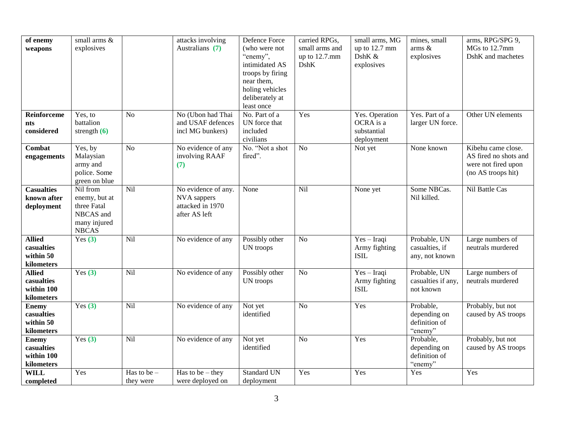| of enemy                                                | small arms &                                                                          |                            | attacks involving                                                       | Defence Force                                                                                                                     | carried RPGs,                           | small arms, MG                                           | mines, small                                          | arms, RPG/SPG 9,                                                                         |
|---------------------------------------------------------|---------------------------------------------------------------------------------------|----------------------------|-------------------------------------------------------------------------|-----------------------------------------------------------------------------------------------------------------------------------|-----------------------------------------|----------------------------------------------------------|-------------------------------------------------------|------------------------------------------------------------------------------------------|
| weapons                                                 | explosives                                                                            |                            | Australians (7)                                                         | (who were not<br>"enemy",<br>intimidated AS<br>troops by firing<br>near them,<br>holing vehicles<br>deliberately at<br>least once | small arms and<br>up to 12.7.mm<br>DshK | up to 12.7 mm<br>DshK &<br>explosives                    | arms $\&$<br>explosives                               | MGs to 12.7mm<br>DshK and machetes                                                       |
| Reinforceme<br>nts<br>considered                        | Yes, to<br>battalion<br>strength $(6)$                                                | No                         | No (Ubon had Thai<br>and USAF defences<br>incl MG bunkers)              | No. Part of a<br>UN force that<br>included<br>civilians                                                                           | Yes                                     | Yes. Operation<br>OCRA is a<br>substantial<br>deployment | Yes. Part of a<br>larger UN force.                    | Other UN elements                                                                        |
| Combat<br>engagements                                   | Yes, by<br>Malaysian<br>army and<br>police. Some<br>green on blue                     | $\overline{No}$            | No evidence of any<br>involving RAAF<br>(7)                             | No. "Not a shot<br>fired".                                                                                                        | $\overline{No}$                         | Not yet                                                  | None known                                            | Kibehu came close.<br>AS fired no shots and<br>were not fired upon<br>(no AS troops hit) |
| <b>Casualties</b><br>known after<br>deployment          | Nil from<br>enemy, but at<br>three Fatal<br>NBCAS and<br>many injured<br><b>NBCAS</b> | Nil                        | No evidence of any.<br>NVA sappers<br>attacked in 1970<br>after AS left | None                                                                                                                              | Nil                                     | None yet                                                 | Some NBCas.<br>Nil killed.                            | Nil Battle Cas                                                                           |
| <b>Allied</b><br>casualties<br>within 50<br>kilometers  | Yes $(3)$                                                                             | Nil                        | No evidence of any                                                      | Possibly other<br>UN troops                                                                                                       | N <sub>o</sub>                          | Yes-Iraqi<br>Army fighting<br><b>ISIL</b>                | Probable, UN<br>casualties, if<br>any, not known      | Large numbers of<br>neutrals murdered                                                    |
| <b>Allied</b><br>casualties<br>within 100<br>kilometers | Yes $(3)$                                                                             | Nil                        | No evidence of any                                                      | Possibly other<br>UN troops                                                                                                       | $\overline{No}$                         | $Yes - Iraqi$<br>Army fighting<br><b>ISIL</b>            | Probable, UN<br>casualties if any,<br>not known       | Large numbers of<br>neutrals murdered                                                    |
| <b>Enemy</b><br>casualties<br>within 50<br>kilometers   | Yes $(3)$                                                                             | Nil                        | No evidence of any                                                      | Not yet<br>identified                                                                                                             | N <sub>o</sub>                          | Yes                                                      | Probable,<br>depending on<br>definition of<br>"enemy" | Probably, but not<br>caused by AS troops                                                 |
| <b>Enemy</b><br>casualties<br>within 100<br>kilometers  | Yes $(3)$                                                                             | Nil                        | No evidence of any                                                      | $\overline{\text{Not}}$ yet<br>identified                                                                                         | N <sub>o</sub>                          | Yes                                                      | Probable,<br>depending on<br>definition of<br>"enemy" | Probably, but not<br>caused by AS troops                                                 |
| <b>WILL</b><br>completed                                | Yes                                                                                   | Has to be $-$<br>they were | Has to be $-$ they<br>were deployed on                                  | <b>Standard UN</b><br>deployment                                                                                                  | Yes                                     | Yes                                                      | Yes                                                   | Yes                                                                                      |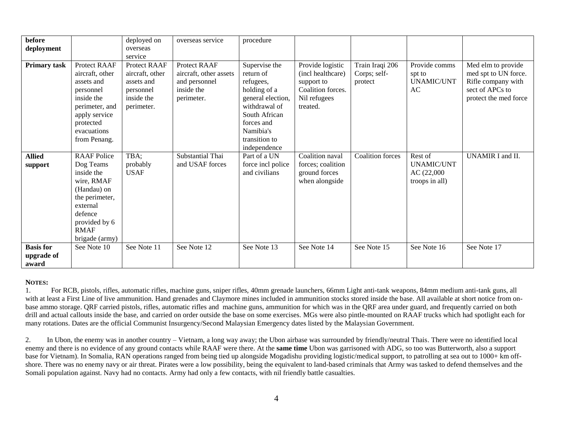| before              |                    | deployed on     | overseas service       | procedure         |                   |                         |                   |                       |
|---------------------|--------------------|-----------------|------------------------|-------------------|-------------------|-------------------------|-------------------|-----------------------|
| deployment          |                    | overseas        |                        |                   |                   |                         |                   |                       |
|                     |                    | service         |                        |                   |                   |                         |                   |                       |
| <b>Primary task</b> | Protect RAAF       | Protect RAAF    | Protect RAAF           | Supervise the     | Provide logistic  | Train Iraqi 206         | Provide comms     | Med elm to provide    |
|                     | aircraft, other    | aircraft, other | aircraft, other assets | return of         | (incl healthcare) | Corps; self-            | spt to            | med spt to UN force.  |
|                     | assets and         | assets and      | and personnel          | refugees,         | support to        | protect                 | <b>UNAMIC/UNT</b> | Rifle company with    |
|                     | personnel          | personnel       | inside the             | holding of a      | Coalition forces. |                         | AC                | sect of APCs to       |
|                     | inside the         | inside the      | perimeter.             | general election, | Nil refugees      |                         |                   | protect the med force |
|                     | perimeter, and     | perimeter.      |                        | withdrawal of     | treated.          |                         |                   |                       |
|                     | apply service      |                 |                        | South African     |                   |                         |                   |                       |
|                     | protected          |                 |                        | forces and        |                   |                         |                   |                       |
|                     | evacuations        |                 |                        | Namibia's         |                   |                         |                   |                       |
|                     | from Penang.       |                 |                        | transition to     |                   |                         |                   |                       |
|                     |                    |                 |                        | independence      |                   |                         |                   |                       |
| <b>Allied</b>       | <b>RAAF</b> Police | TBA;            | Substantial Thai       | Part of a UN      | Coalition naval   | <b>Coalition</b> forces | Rest of           | UNAMIR I and II.      |
| support             | Dog Teams          | probably        | and USAF forces        | force incl police | forces; coalition |                         | <b>UNAMIC/UNT</b> |                       |
|                     | inside the         | <b>USAF</b>     |                        | and civilians     | ground forces     |                         | AC(22,000)        |                       |
|                     | wire, RMAF         |                 |                        |                   | when alongside    |                         | troops in all)    |                       |
|                     | (Handau) on        |                 |                        |                   |                   |                         |                   |                       |
|                     | the perimeter,     |                 |                        |                   |                   |                         |                   |                       |
|                     | external           |                 |                        |                   |                   |                         |                   |                       |
|                     | defence            |                 |                        |                   |                   |                         |                   |                       |
|                     | provided by 6      |                 |                        |                   |                   |                         |                   |                       |
|                     | <b>RMAF</b>        |                 |                        |                   |                   |                         |                   |                       |
|                     | brigade (army)     |                 |                        |                   |                   |                         |                   |                       |
| <b>Basis</b> for    | See Note 10        | See Note 11     | See Note 12            | See Note 13       | See Note 14       | See Note 15             | See Note 16       | See Note 17           |
| upgrade of          |                    |                 |                        |                   |                   |                         |                   |                       |
| award               |                    |                 |                        |                   |                   |                         |                   |                       |

## **NOTES:**

1. For RCB, pistols, rifles, automatic rifles, machine guns, sniper rifles, 40mm grenade launchers, 66mm Light anti-tank weapons, 84mm medium anti-tank guns, all with at least a First Line of live ammunition. Hand grenades and Claymore mines included in ammunition stocks stored inside the base. All available at short notice from onbase ammo storage. QRF carried pistols, rifles, automatic rifles and machine guns, ammunition for which was in the QRF area under guard, and frequently carried on both drill and actual callouts inside the base, and carried on order outside the base on some exercises. MGs were also pintle-mounted on RAAF trucks which had spotlight each for many rotations. Dates are the official Communist Insurgency/Second Malaysian Emergency dates listed by the Malaysian Government.

2. In Ubon, the enemy was in another country – Vietnam, a long way away; the Ubon airbase was surrounded by friendly/neutral Thais. There were no identified local enemy and there is no evidence of any ground contacts while RAAF were there. At the **same time** Ubon was garrisoned with ADG, so too was Butterworth, also a support base for Vietnam). In Somalia, RAN operations ranged from being tied up alongside Mogadishu providing logistic/medical support, to patrolling at sea out to 1000+ km offshore. There was no enemy navy or air threat. Pirates were a low possibility, being the equivalent to land-based criminals that Army was tasked to defend themselves and the Somali population against. Navy had no contacts. Army had only a few contacts, with nil friendly battle casualties.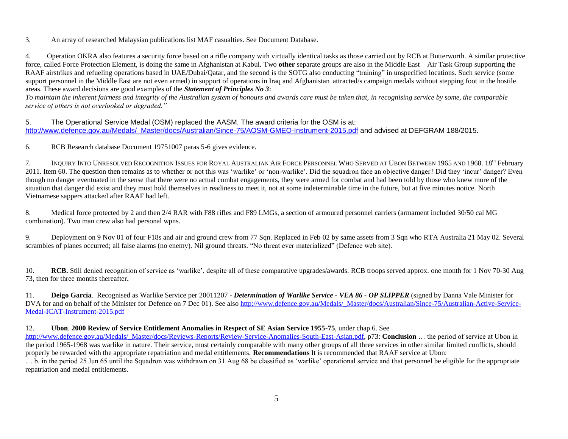3. An array of researched Malaysian publications list MAF casualties. See Document Database.

4. Operation OKRA also features a security force based on a rifle company with virtually identical tasks as those carried out by RCB at Butterworth. A similar protective force, called Force Protection Element, is doing the same in Afghanistan at Kabul. Two **other** separate groups are also in the Middle East – Air Task Group supporting the RAAF airstrikes and refueling operations based in UAE/Dubai/Qatar, and the second is the SOTG also conducting "training" in unspecified locations. Such service (some support personnel in the Middle East are not even armed) in support of operations in Iraq and Afghanistan attracted/s campaign medals without stepping foot in the hostile areas. These award decisions are good examples of the *Statement of Principles No 3*:

*To maintain the inherent fairness and integrity of the Australian system of honours and awards care must be taken that, in recognising service by some, the comparable service of others is not overlooked or degraded."*

5. The Operational Service Medal (OSM) replaced the AASM. The award criteria for the OSM is at: [http://www.defence.gov.au/Medals/\\_Master/docs/Australian/Since-75/AOSM-GMEO-Instrument-2015.pdf](http://www.defence.gov.au/Medals/_Master/docs/Australian/Since-75/AOSM-GMEO-Instrument-2015.pdf) and advised at DEFGRAM 188/2015.

6. RCB Research database Document 19751007 paras 5-6 gives evidence.

7. INQUIRY INTO UNRESOLVED RECOGNITION ISSUES FOR ROYAL AUSTRALIAN AIR FORCE PERSONNEL WHO SERVED AT UBON BETWEEN 1965 AND 1968. 18<sup>th</sup> February 2011. Item 60. The question then remains as to whether or not this was "warlike" or "non-warlike". Did the squadron face an objective danger? Did they "incur" danger? Even though no danger eventuated in the sense that there were no actual combat engagements, they were armed for combat and had been told by those who knew more of the situation that danger did exist and they must hold themselves in readiness to meet it, not at some indeterminable time in the future, but at five minutes notice. North Vietnamese sappers attacked after RAAF had left.

8. Medical force protected by 2 and then 2/4 RAR with F88 rifles and F89 LMGs, a section of armoured personnel carriers (armament included 30/50 cal MG combination). Two man crew also had personal wpns.

9. Deployment on 9 Nov 01 of four F18s and air and ground crew from 77 Sqn. Replaced in Feb 02 by same assets from 3 Sqn who RTA Australia 21 May 02. Several scrambles of planes occurred; all false alarms (no enemy). Nil ground threats. "No threat ever materialized" (Defence web site).

10. **RCB.** Still denied recognition of service as "warlike", despite all of these comparative upgrades/awards. RCB troops served approx. one month for 1 Nov 70-30 Aug 73, then for three months thereafter**.**

11. **Deigo Garcia**. Recognised as Warlike Service per 20011207 - *Determination of Warlike Service - VEA 86 - OP SLIPPER* (signed by Danna Vale Minister for DVA for and on behalf of the Minister for Defence on 7 Dec 01). See also [http://www.defence.gov.au/Medals/\\_Master/docs/Australian/Since-75/Australian-Active-Service-](http://www.defence.gov.au/Medals/_Master/docs/Australian/Since-75/Australian-Active-Service-Medal-ICAT-Instrument-2015.pdf)[Medal-ICAT-Instrument-2015.pdf](http://www.defence.gov.au/Medals/_Master/docs/Australian/Since-75/Australian-Active-Service-Medal-ICAT-Instrument-2015.pdf)

12. **Ubon**. **2000 Review of Service Entitlement Anomalies in Respect of SE Asian Service 1955-75**, under chap 6. See

[http://www.defence.gov.au/Medals/\\_Master/docs/Reviews-Reports/Review-Service-Anomalies-South-East-Asian.pdf,](http://www.defence.gov.au/Medals/_Master/docs/Reviews-Reports/Review-Service-Anomalies-South-East-Asian.pdf) p73: **Conclusion** … the period of service at Ubon in the period 1965-1968 was warlike in nature. Their service, most certainly comparable with many other groups of all three services in other similar limited conflicts, should properly be rewarded with the appropriate repatriation and medal entitlements. **Recommendations** It is recommended that RAAF service at Ubon:

… b. in the period 25 Jun 65 until the Squadron was withdrawn on 31 Aug 68 be classified as "warlike" operational service and that personnel be eligible for the appropriate repatriation and medal entitlements.